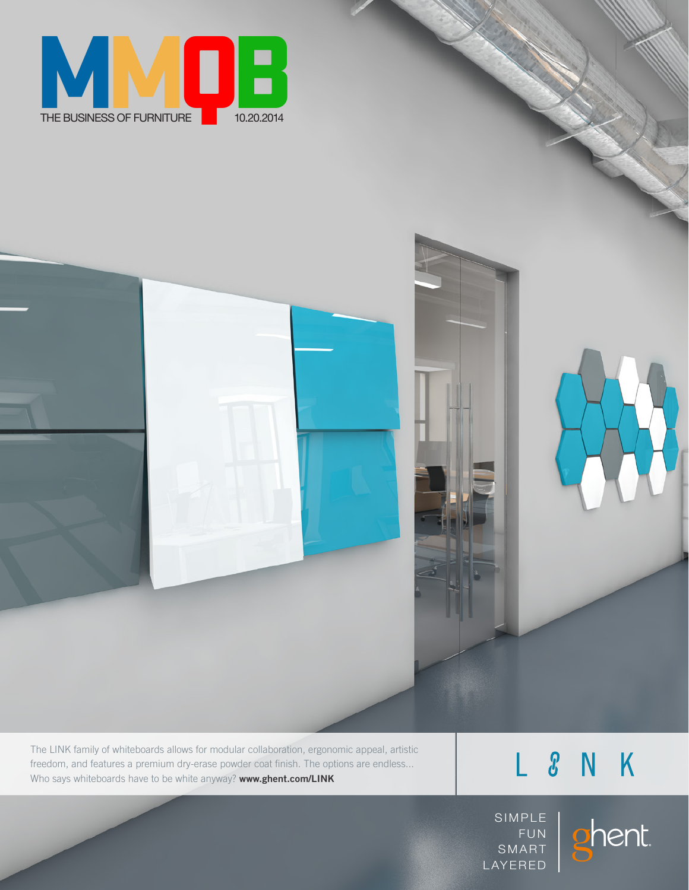

The LINK family of whiteboards allows for modular collaboration, ergonomic appeal, artistic freedom, and features a premium dry-erase powder coat finish. The options are endless... Who says whiteboards have to be white anyway? [www.ghent.com/LINK](http://www.ghent.com/LINK)

SIMPLE SMART LAYERED

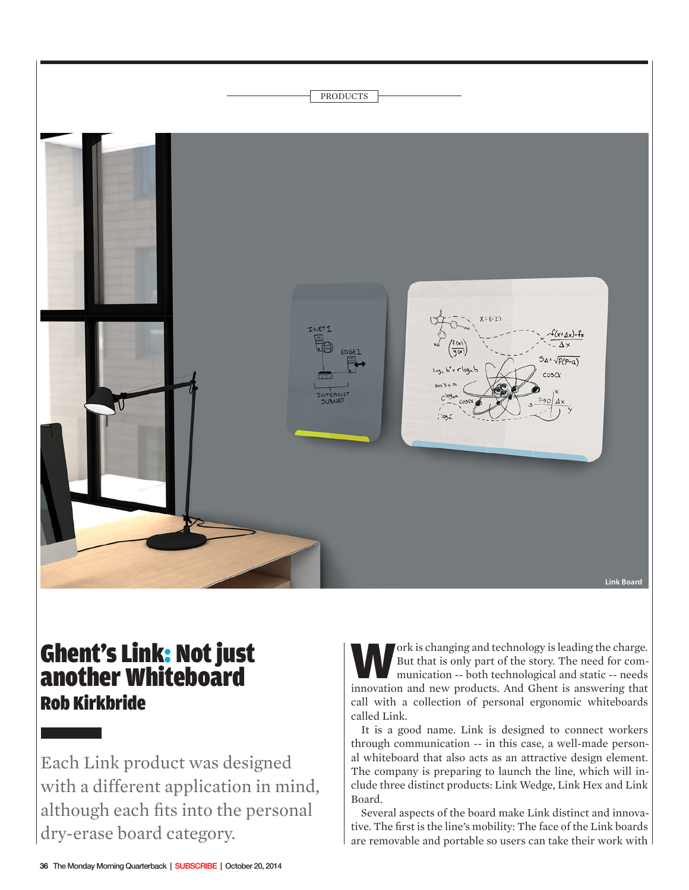

## Ghent's Link: Not just another Whiteboard Rob Kirkbride

Each Link product was designed with a different application in mind, although each fits into the personal dry-erase board category.

Ork is changing and technology is leading the charge.<br>But that is only part of the story. The need for com-<br>munication -- both technological and static -- needs<br>innovation and new products. And Ghent is answering that But that is only part of the story. The need for communication -- both technological and static -- needs innovation and new products. And Ghent is answering that call with a collection of personal ergonomic whiteboards called Link.

It is a good name. Link is designed to connect workers through communication -- in this case, a well-made personal whiteboard that also acts as an attractive design element. The company is preparing to launch the line, which will include three distinct products: Link Wedge, Link Hex and Link Board.

Several aspects of the board make Link distinct and innovative. The first is the line's mobility: The face of the Link boards are removable and portable so users can take their work with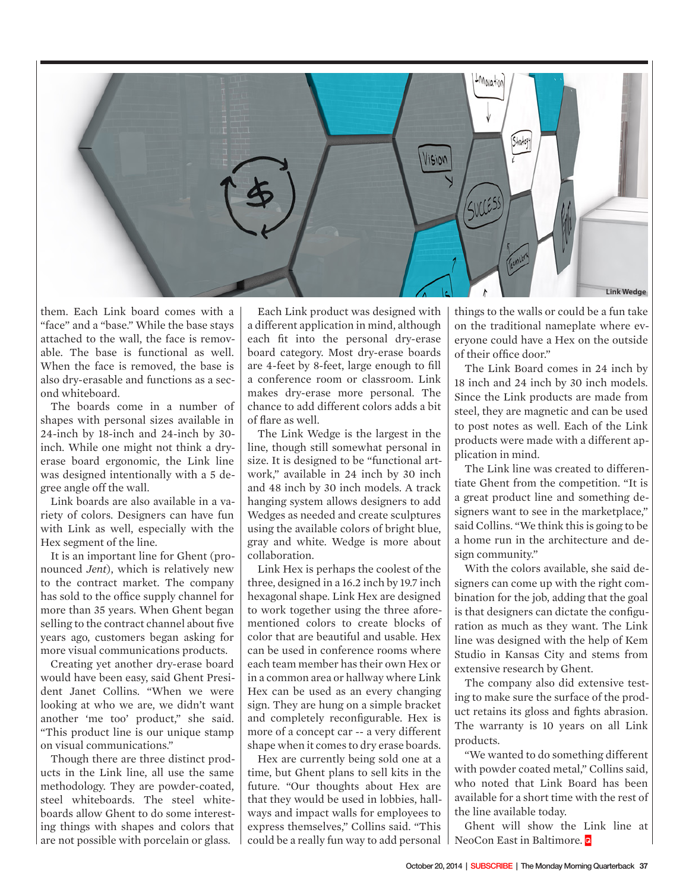

them. Each Link board comes with a "face" and a "base." While the base stays attached to the wall, the face is removable. The base is functional as well. When the face is removed, the base is also dry-erasable and functions as a second whiteboard.

The boards come in a number of shapes with personal sizes available in 24-inch by 18-inch and 24-inch by 30 inch. While one might not think a dryerase board ergonomic, the Link line was designed intentionally with a 5 degree angle off the wall.

Link boards are also available in a variety of colors. Designers can have fun with Link as well, especially with the Hex segment of the line.

It is an important line for Ghent (pronounced *Jent*), which is relatively new to the contract market. The company has sold to the office supply channel for more than 35 years. When Ghent began selling to the contract channel about five years ago, customers began asking for more visual communications products.

Creating yet another dry-erase board would have been easy, said Ghent President Janet Collins. "When we were looking at who we are, we didn't want another 'me too' product," she said. "This product line is our unique stamp on visual communications."

Though there are three distinct products in the Link line, all use the same methodology. They are powder-coated, steel whiteboards. The steel whiteboards allow Ghent to do some interesting things with shapes and colors that are not possible with porcelain or glass.

Each Link product was designed with a different application in mind, although each fit into the personal dry-erase board category. Most dry-erase boards are 4-feet by 8-feet, large enough to fill a conference room or classroom. Link makes dry-erase more personal. The chance to add different colors adds a bit of flare as well.

The Link Wedge is the largest in the line, though still somewhat personal in size. It is designed to be "functional artwork," available in 24 inch by 30 inch and 48 inch by 30 inch models. A track hanging system allows designers to add Wedges as needed and create sculptures using the available colors of bright blue, gray and white. Wedge is more about collaboration.

Link Hex is perhaps the coolest of the three, designed in a 16.2 inch by 19.7 inch hexagonal shape. Link Hex are designed to work together using the three aforementioned colors to create blocks of color that are beautiful and usable. Hex can be used in conference rooms where each team member has their own Hex or in a common area or hallway where Link Hex can be used as an every changing sign. They are hung on a simple bracket and completely reconfigurable. Hex is more of a concept car -- a very different shape when it comes to dry erase boards.

Hex are currently being sold one at a time, but Ghent plans to sell kits in the future. "Our thoughts about Hex are that they would be used in lobbies, hallways and impact walls for employees to express themselves," Collins said. "This could be a really fun way to add personal things to the walls or could be a fun take on the traditional nameplate where everyone could have a Hex on the outside of their office door."

The Link Board comes in 24 inch by 18 inch and 24 inch by 30 inch models. Since the Link products are made from steel, they are magnetic and can be used to post notes as well. Each of the Link products were made with a different application in mind.

The Link line was created to differentiate Ghent from the competition. "It is a great product line and something designers want to see in the marketplace," said Collins. "We think this is going to be a home run in the architecture and design community."

With the colors available, she said designers can come up with the right combination for the job, adding that the goal is that designers can dictate the configuration as much as they want. The Link line was designed with the help of Kem Studio in Kansas City and stems from extensive research by Ghent.

The company also did extensive testing to make sure the surface of the product retains its gloss and fights abrasion. The warranty is 10 years on all Link products.

"We wanted to do something different with powder coated metal," Collins said, who noted that Link Board has been available for a short time with the rest of the line available today.

Ghent will show the Link line at NeoCon East in Baltimore. Q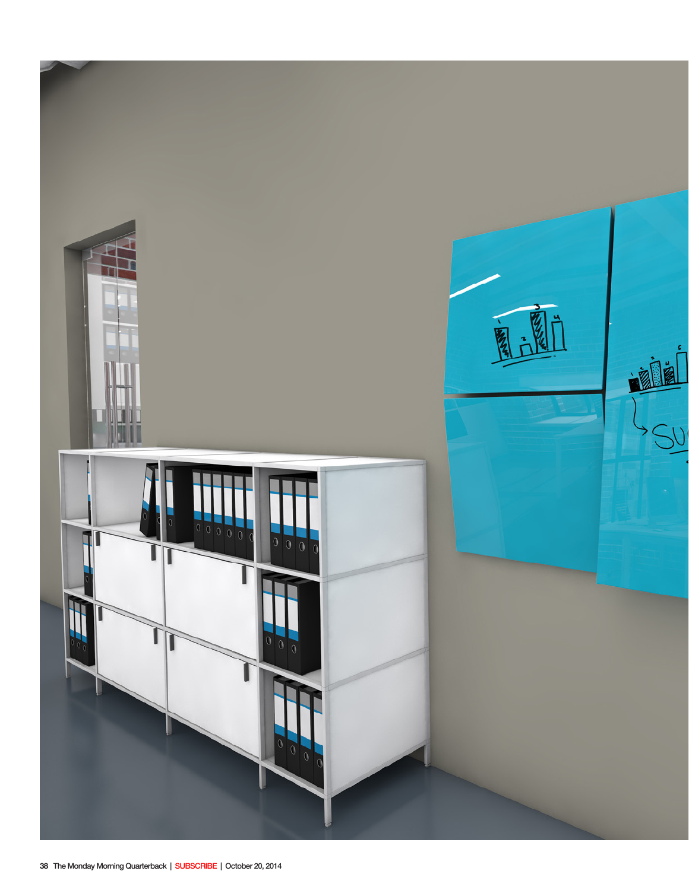